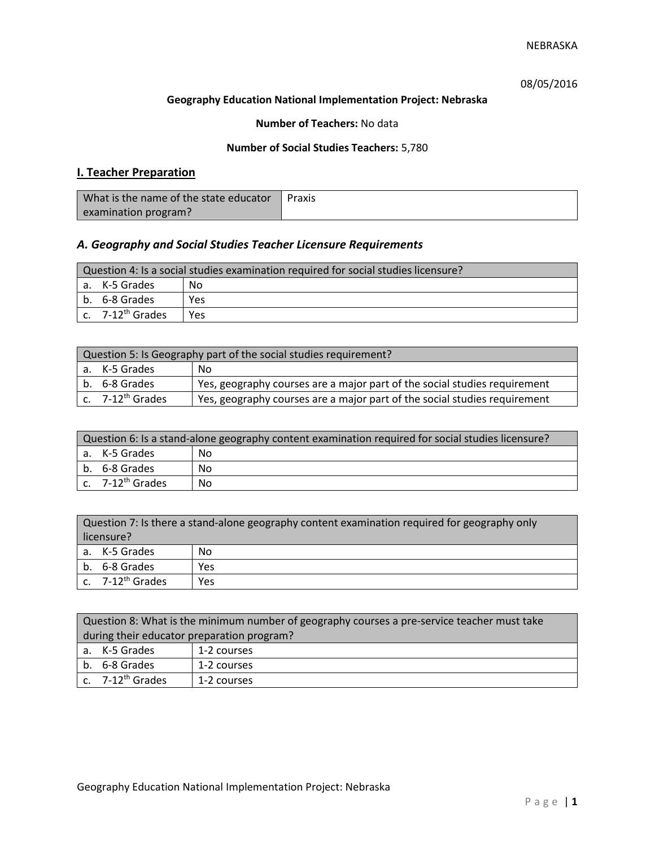# 08/05/2016

### **Geography Education National Implementation Project: Nebraska**

### **Number of Teachers:** No data

### **Number of Social Studies Teachers:** 5,780

# **I. Teacher Preparation**

| What is the name of the state educator | Praxis |
|----------------------------------------|--------|
| examination program?                   |        |

# *A. Geography and Social Studies Teacher Licensure Requirements*

| Question 4: Is a social studies examination required for social studies licensure? |                       |     |
|------------------------------------------------------------------------------------|-----------------------|-----|
|                                                                                    | a. K-5 Grades         | Nο  |
|                                                                                    | b. 6-8 Grades         | Yes |
|                                                                                    | c. $7-12^{th}$ Grades | Yes |

| Question 5: Is Geography part of the social studies requirement? |                                |                                                                           |  |
|------------------------------------------------------------------|--------------------------------|---------------------------------------------------------------------------|--|
|                                                                  | a. K-5 Grades                  | . No                                                                      |  |
|                                                                  | b. 6-8 Grades                  | Yes, geography courses are a major part of the social studies requirement |  |
|                                                                  | $c.$ 7-12 <sup>th</sup> Grades | Yes, geography courses are a major part of the social studies requirement |  |

| Question 6: Is a stand-alone geography content examination required for social studies licensure? |    |  |
|---------------------------------------------------------------------------------------------------|----|--|
| a. K-5 Grades                                                                                     | No |  |
| b. 6-8 Grades                                                                                     | Nο |  |
| c. $7-12^{th}$ Grades                                                                             | No |  |

| Question 7: Is there a stand-alone geography content examination required for geography only<br>licensure? |     |  |
|------------------------------------------------------------------------------------------------------------|-----|--|
| a. K-5 Grades                                                                                              | No  |  |
| b. 6-8 Grades                                                                                              | Yes |  |
| c. 7-12 <sup>th</sup> Grades                                                                               | Yes |  |

| Question 8: What is the minimum number of geography courses a pre-service teacher must take |             |  |
|---------------------------------------------------------------------------------------------|-------------|--|
| during their educator preparation program?                                                  |             |  |
| a. K-5 Grades                                                                               | 1-2 courses |  |
| b. 6-8 Grades<br>1-2 courses                                                                |             |  |
| c. $7-12^{th}$ Grades                                                                       | 1-2 courses |  |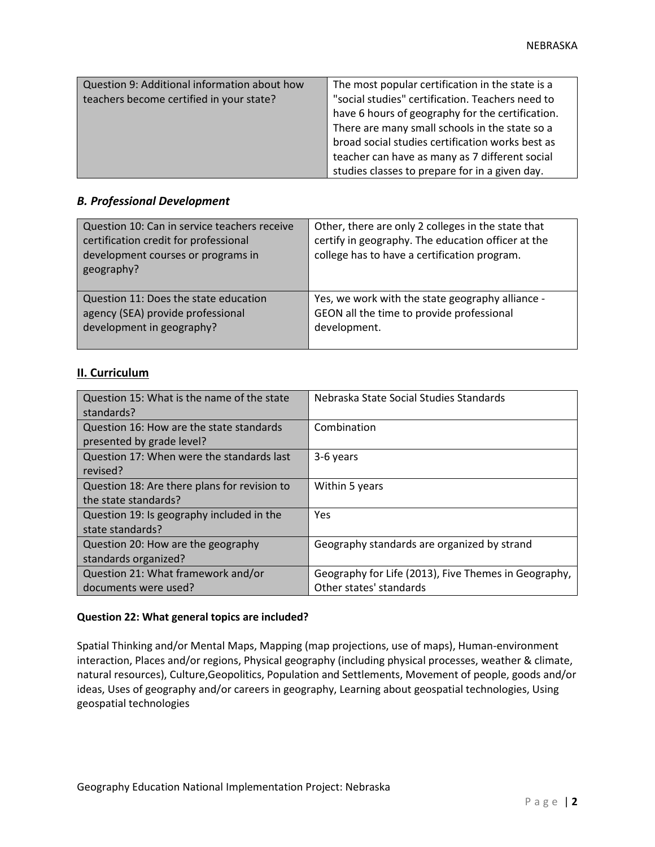| Question 9: Additional information about how | The most popular certification in the state is a |
|----------------------------------------------|--------------------------------------------------|
| teachers become certified in your state?     | "social studies" certification. Teachers need to |
|                                              | have 6 hours of geography for the certification. |
|                                              | There are many small schools in the state so a   |
|                                              | broad social studies certification works best as |
|                                              | teacher can have as many as 7 different social   |
|                                              | studies classes to prepare for in a given day.   |

#### *B. Professional Development*

| Question 10: Can in service teachers receive<br>certification credit for professional<br>development courses or programs in<br>geography? | Other, there are only 2 colleges in the state that<br>certify in geography. The education officer at the<br>college has to have a certification program. |
|-------------------------------------------------------------------------------------------------------------------------------------------|----------------------------------------------------------------------------------------------------------------------------------------------------------|
| Question 11: Does the state education                                                                                                     | Yes, we work with the state geography alliance -                                                                                                         |
| agency (SEA) provide professional                                                                                                         | GEON all the time to provide professional                                                                                                                |
| development in geography?                                                                                                                 | development.                                                                                                                                             |

## **II. Curriculum**

| Question 15: What is the name of the state<br>standards?              | Nebraska State Social Studies Standards                                         |
|-----------------------------------------------------------------------|---------------------------------------------------------------------------------|
| Question 16: How are the state standards<br>presented by grade level? | Combination                                                                     |
| Question 17: When were the standards last<br>revised?                 | 3-6 years                                                                       |
| Question 18: Are there plans for revision to<br>the state standards?  | Within 5 years                                                                  |
| Question 19: Is geography included in the<br>state standards?         | <b>Yes</b>                                                                      |
| Question 20: How are the geography<br>standards organized?            | Geography standards are organized by strand                                     |
| Question 21: What framework and/or<br>documents were used?            | Geography for Life (2013), Five Themes in Geography,<br>Other states' standards |

#### **Question 22: What general topics are included?**

Spatial Thinking and/or Mental Maps, Mapping (map projections, use of maps), Human-environment interaction, Places and/or regions, Physical geography (including physical processes, weather & climate, natural resources), Culture,Geopolitics, Population and Settlements, Movement of people, goods and/or ideas, Uses of geography and/or careers in geography, Learning about geospatial technologies, Using geospatial technologies